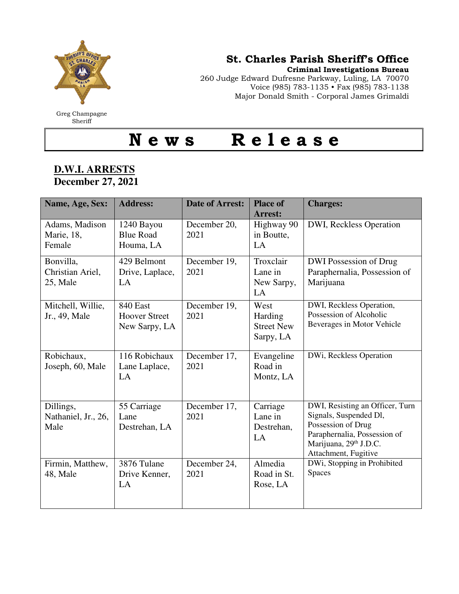

Greg Champagne **Sheriff** 

## St. Charles Parish Sheriff's Office

Criminal Investigations Bureau

260 Judge Edward Dufresne Parkway, Luling, LA 70070 Voice (985) 783-1135 • Fax (985) 783-1138 Major Donald Smith - Corporal James Grimaldi

## N e w s R e l e a s e

## **D.W.I. ARRESTS December 27, 2021**

| Name, Age, Sex:                           | <b>Address:</b>                                   | <b>Date of Arrest:</b> | <b>Place of</b><br><b>Arrest:</b>                 | <b>Charges:</b>                                                                                                                                                   |
|-------------------------------------------|---------------------------------------------------|------------------------|---------------------------------------------------|-------------------------------------------------------------------------------------------------------------------------------------------------------------------|
| Adams, Madison<br>Marie, 18,<br>Female    | 1240 Bayou<br><b>Blue Road</b><br>Houma, LA       | December 20,<br>2021   | Highway 90<br>in Boutte,<br>LA                    | DWI, Reckless Operation                                                                                                                                           |
| Bonvilla,<br>Christian Ariel,<br>25, Male | 429 Belmont<br>Drive, Laplace,<br>LA              | December 19,<br>2021   | Troxclair<br>Lane in<br>New Sarpy,<br>LA          | DWI Possession of Drug<br>Paraphernalia, Possession of<br>Marijuana                                                                                               |
| Mitchell, Willie,<br>Jr., 49, Male        | 840 East<br><b>Hoover Street</b><br>New Sarpy, LA | December 19,<br>2021   | West<br>Harding<br><b>Street New</b><br>Sarpy, LA | DWI, Reckless Operation,<br>Possession of Alcoholic<br>Beverages in Motor Vehicle                                                                                 |
| Robichaux,<br>Joseph, 60, Male            | 116 Robichaux<br>Lane Laplace,<br>LA              | December 17,<br>2021   | Evangeline<br>Road in<br>Montz, LA                | DWi, Reckless Operation                                                                                                                                           |
| Dillings,<br>Nathaniel, Jr., 26,<br>Male  | 55 Carriage<br>Lane<br>Destrehan, LA              | December 17,<br>2021   | Carriage<br>Lane in<br>Destrehan,<br>LA           | DWI, Resisting an Officer, Turn<br>Signals, Suspended Dl,<br>Possession of Drug<br>Paraphernalia, Possession of<br>Marijuana, 29th J.D.C.<br>Attachment, Fugitive |
| Firmin, Matthew,<br>48, Male              | 3876 Tulane<br>Drive Kenner,<br>LA                | December 24,<br>2021   | Almedia<br>Road in St.<br>Rose, LA                | DWi, Stopping in Prohibited<br>Spaces                                                                                                                             |